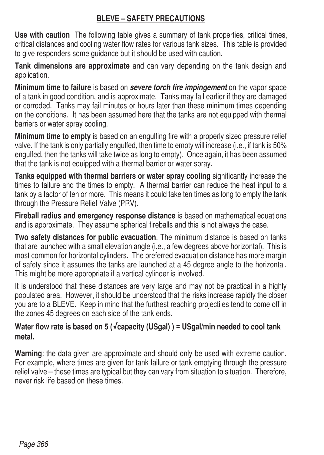## **BLEVE – SAFETY PRECAUTIONS**

**Use with caution** The following table gives a summary of tank properties, critical times, critical distances and cooling water flow rates for various tank sizes This table is provided to give responders some guidance but it should be used with caution

**Tank dimensions are approximate** and can vary depending on the tank design and application.

**Minimum time to failure** is based on *severe torch fire impingement* on the vapor space of a tank in good condition, and is approximate. Tanks may fail earlier if they are damaged or corroded. Tanks may fail minutes or hours later than these minimum times depending on the conditions. It has been assumed here that the tanks are not equipped with thermal barriers or water spray cooling

**Minimum time to empty** is based on an engulfing fire with a properly sized pressure relief valve. If the tank is only partially engulfed, then time to empty will increase (i.e., if tank is 50% engulfed, then the tanks will take twice as long to empty). Once again, it has been assumed that the tank is not equipped with a thermal barrier or water spray

**Tanks equipped with thermal barriers or water spray cooling** significantly increase the times to failure and the times to empty. A thermal barrier can reduce the heat input to a tank by a factor of ten or more. This means it could take ten times as long to empty the tank through the Pressure Relief Valve (PRV)

**Fireball radius and emergency response distance** is based on mathematical equations and is approximate. They assume spherical fireballs and this is not always the case.

**Two safety distances for public evacuation** The minimum distance is based on tanks that are launched with a small elevation angle (i.e., a few degrees above horizontal). This is most common for horizontal cylinders. The preferred evacuation distance has more margin of safety since it assumes the tanks are launched at a 45 degree angle to the horizontal This might be more appropriate if a vertical cylinder is involved.

populated area. However, it should be understood that the risks increase rapidly the closer It is understood that these distances are very large and may not be practical in a highly you are to a BLEVE Keep in mind that the furthest reaching projectiles tend to come off in the zones 45 degrees on each side of the tank ends

## **Water flow rate is based on 5 ( √capacity (USgal) ) = USgal/min needed to cool tank metal.**

**Warning**: the data given are approximate and should only be used with extreme caution For example, where times are given for tank failure or tank emptying through the pressure relief valve – these times are typical but they can vary from situation to situation. Therefore, never risk life based on these times